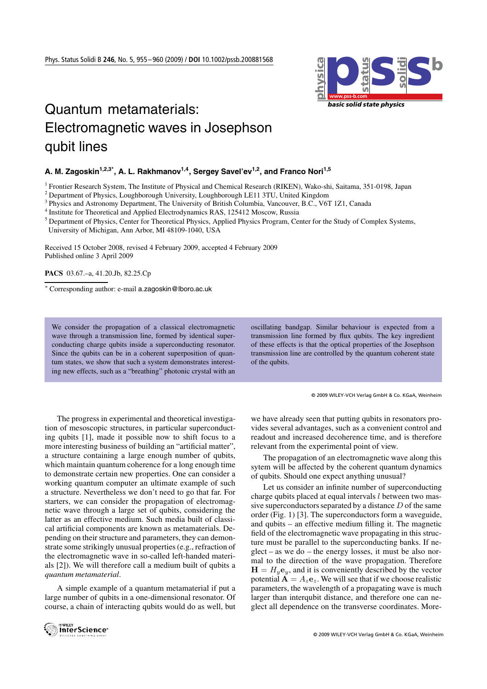

## Quantum metamaterials: Electromagnetic waves in Josephson qubit lines

## A. M. Zagoskin<sup>1,2,3\*</sup>, A. L. Rakhmanov<sup>1,4</sup>, Sergey Savel'ev<sup>1,2</sup>, and Franco Nori<sup>1,5</sup>

<sup>1</sup> Frontier Research System, The Institute of Physical and Chemical Research (RIKEN), Wako-shi, Saitama, 351-0198, Japan

<sup>2</sup> Department of Physics, Loughborough University, Loughborough LE11 3TU, United Kingdom

<sup>4</sup> Institute for Theoretical and Applied Electrodynamics RAS, 125412 Moscow, Russia

<sup>5</sup> Department of Physics, Center for Theoretical Physics, Applied Physics Program, Center for the Study of Complex Systems, University of Michigan, Ann Arbor, MI 48109-1040, USA

Received 15 October 2008, revised 4 February 2009, accepted 4 February 2009 Published online 3 April 2009

**PACS** 03.67.–a, 41.20.Jb, 82.25.Cp

<sup>∗</sup> Corresponding author: e-mail a.zagoskin@lboro.ac.uk

We consider the propagation of a classical electromagnetic wave through a transmission line, formed by identical superconducting charge qubits inside a superconducting resonator. Since the qubits can be in a coherent superposition of quantum states, we show that such a system demonstrates interesting new effects, such as a "breathing" photonic crystal with an

oscillating bandgap. Similar behaviour is expected from a transmission line formed by flux qubits. The key ingredient of these effects is that the optical properties of the Josephson transmission line are controlled by the quantum coherent state of the qubits.

© 2009 WILEY-VCH Verlag GmbH & Co. KGaA, Weinheim

The progress in experimental and theoretical investigation of mesoscopic structures, in particular superconducting qubits [1], made it possible now to shift focus to a more interesting business of building an "artificial matter", a structure containing a large enough number of qubits, which maintain quantum coherence for a long enough time to demonstrate certain new properties. One can consider a working quantum computer an ultimate example of such a structure. Nevertheless we don't need to go that far. For starters, we can consider the propagation of electromagnetic wave through a large set of qubits, considering the latter as an effective medium. Such media built of classical artificial components are known as metamaterials. Depending on their structure and parameters, they can demonstrate some strikingly unusual properties (e.g., refraction of the electromagnetic wave in so-called left-handed materials [2]). We will therefore call a medium built of qubits a *quantum metamaterial*.

A simple example of a quantum metamaterial if put a large number of qubits in a one-dimensional resonator. Of course, a chain of interacting qubits would do as well, but we have already seen that putting qubits in resonators provides several advantages, such as a convenient control and readout and increased decoherence time, and is therefore relevant from the experimental point of view.

The propagation of an electromagnetic wave along this sytem will be affected by the coherent quantum dynamics of qubits. Should one expect anything unusual?

Let us consider an infinite number of superconducting charge qubits placed at equal intervals  $l$  between two massive superconductors separated by a distance  $D$  of the same order (Fig. 1) [3]. The superconductors form a waveguide, and qubits – an effective medium filling it. The magnetic field of the electromagnetic wave propagating in this structure must be parallel to the superconducting banks. If neglect – as we do – the energy losses, it must be also normal to the direction of the wave propagation. Therefore  $\mathbf{H} = H_y \mathbf{e}_y$ , and it is conveniently described by the vector potential  $\mathbf{A} = A_z \mathbf{e}_z$ . We will see that if we choose realistic parameters, the wavelength of a propagating wave is much larger than interqubit distance, and therefore one can neglect all dependence on the transverse coordinates. More-



<sup>&</sup>lt;sup>3</sup> Physics and Astronomy Department, The University of British Columbia, Vancouver, B.C., V6T 1Z1, Canada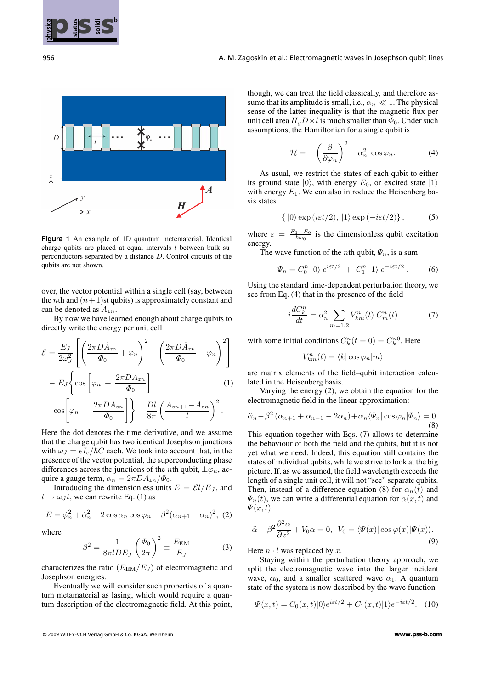



**Figure 1** An example of 1D quantum metematerial. Identical charge qubits are placed at equal intervals  $l$  between bulk superconductors separated by a distance D. Control circuits of the qubits are not shown.

over, the vector potential within a single cell (say, between the *n*th and  $(n + 1)$ st qubits) is approximately constant and can be denoted as  $A_{zn}$ .

By now we have learned enough about charge qubits to directly write the energy per unit cell

$$
\mathcal{E} = \frac{E_J}{2\omega_J^2} \left[ \left( \frac{2\pi D \dot{A}_{zn}}{\Phi_0} + \dot{\varphi_n} \right)^2 + \left( \frac{2\pi D \dot{A}_{zn}}{\Phi_0} - \dot{\varphi_n} \right)^2 \right]
$$

$$
- E_J \left\{ \cos \left[ \varphi_n + \frac{2\pi D A_{zn}}{\Phi_0} \right] \qquad (1)
$$

$$
+ \cos \left[ \varphi_n - \frac{2\pi D A_{zn}}{\Phi_0} \right] \right\} + \frac{Dl}{8\pi} \left( \frac{A_{zn+1} - A_{zn}}{l} \right)^2.
$$

Here the dot denotes the time derivative, and we assume that the charge qubit has two identical Josephson junctions with  $\omega_J = eI_c/\hbar C$  each. We took into account that, in the presence of the vector potential, the superconducting phase differences across the junctions of the *n*th qubit,  $\pm \varphi_n$ , acquire a gauge term,  $\alpha_n = 2\pi D A_{zn}/\Phi_0$ .

Introducing the dimensionless units  $E = \mathcal{E}l/E_J$ , and  $t \rightarrow \omega_J t$ , we can rewrite Eq. (1) as

$$
E = \dot{\varphi}_n^2 + \dot{\alpha}_n^2 - 2\cos\alpha_n \cos\varphi_n + \beta^2 (\alpha_{n+1} - \alpha_n)^2, (2)
$$

where

$$
\beta^2 = \frac{1}{8\pi l D E_J} \left(\frac{\Phi_0}{2\pi}\right)^2 \equiv \frac{E_{\text{EM}}}{E_J} \tag{3}
$$

characterizes the ratio  $(E_{EM}/E_J)$  of electromagnetic and Josephson energies.

Eventually we will consider such properties of a quantum metamaterial as lasing, which would require a quantum description of the electromagnetic field. At this point, though, we can treat the field classically, and therefore assume that its amplitude is small, i.e.,  $\alpha_n \ll 1$ . The physical sense of the latter inequality is that the magnetic flux per unit cell area  $H_u D \times l$  is much smaller than  $\Phi_0$ . Under such assumptions, the Hamiltonian for a single qubit is

$$
\mathcal{H} = -\left(\frac{\partial}{\partial \varphi_n}\right)^2 - \alpha_n^2 \cos \varphi_n.
$$
 (4)

As usual, we restrict the states of each qubit to either its ground state  $|0\rangle$ , with energy  $E_0$ , or excited state  $|1\rangle$ with energy  $E_1$ . We can also introduce the Heisenberg basis states

$$
\{ |0\rangle \exp\left( i\varepsilon t/2\right), |1\rangle \exp\left( -i\varepsilon t/2\right) \},\qquad (5)
$$

where  $\varepsilon = \frac{E_1 - E_0}{\hbar \omega_0}$  is the dimensionless qubit excitation energy.

The wave function of the *n*th qubit,  $\Psi_n$ , is a sum

$$
\Psi_n = C_0^n \, |0\rangle \, e^{i\epsilon t/2} \, + \, C_1^n \, |1\rangle \, e^{-i\epsilon t/2} \,. \tag{6}
$$

Using the standard time-dependent perturbation theory, we see from Eq. (4) that in the presence of the field

$$
i\frac{dC_k^n}{dt} = \alpha_n^2 \sum_{m=1,2} V_{km}^n(t) C_m^n(t)
$$
 (7)

with some initial conditions  $C_k^n(t=0) = C_k^{n0}$ . Here

$$
V^n_{km}(t)=\langle k|\cos\varphi_n|m\rangle
$$

are matrix elements of the field–qubit interaction calculated in the Heisenberg basis.

Varying the energy (2), we obtain the equation for the electromagnetic field in the linear approximation:

$$
\ddot{\alpha}_n - \beta^2 (\alpha_{n+1} + \alpha_{n-1} - 2\alpha_n) + \alpha_n \langle \Psi_n | \cos \varphi_n | \Psi_n \rangle = 0.
$$
\n(8)

This equation together with Eqs. (7) allows to determine the behaviour of both the field and the qubits, but it is not yet what we need. Indeed, this equation still contains the states of individual qubits, while we strive to look at the big picture. If, as we assumed, the field wavelength exceeds the length of a single unit cell, it will not "see" separate qubits. Then, instead of a difference equation (8) for  $\alpha_n(t)$  and  $\Psi_n(t)$ , we can write a differential equation for  $\alpha(x, t)$  and  $\Psi(x,t)$ :

$$
\ddot{\alpha} - \beta^2 \frac{\partial^2 \alpha}{\partial x^2} + V_0 \alpha = 0, \ \ V_0 = \langle \Psi(x) | \cos \varphi(x) | \Psi(x) \rangle. \tag{9}
$$

Here  $n \cdot l$  was replaced by  $x$ .

Staying within the perturbation theory approach, we split the electromagnetic wave into the larger incident wave,  $\alpha_0$ , and a smaller scattered wave  $\alpha_1$ . A quantum state of the system is now described by the wave function

$$
\Psi(x,t) = C_0(x,t)|0\rangle e^{i\varepsilon t/2} + C_1(x,t)|1\rangle e^{-i\varepsilon t/2}.
$$
 (10)

<sup>© 2009</sup> WILEY-VCH Verlag GmbH & Co. KGaA, Weinheim **www.pss-b.com**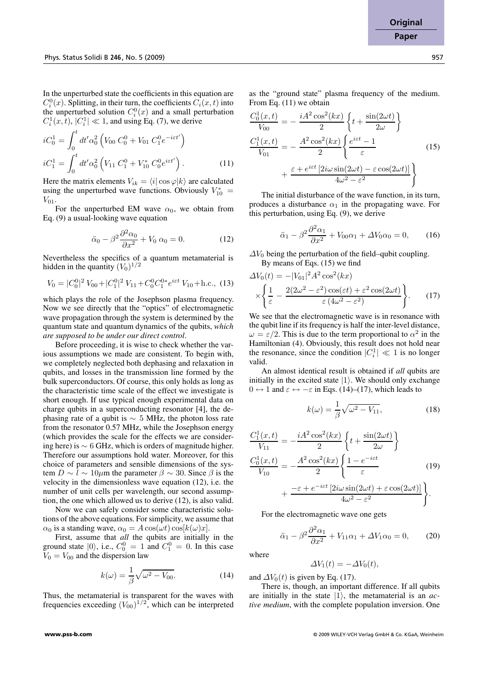In the unperturbed state the coefficients in this equation are  $C_i^0(x)$ . Splitting, in their turn, the coefficients  $C_i(x, t)$  into the unperturbed solution  $C_i^0(x)$  and a small perturbation  $C_i^1(x, t)$ ,  $|C_i^1| \ll 1$ , and using Eq. (7), we derive

$$
iC_0^1 = \int_0^t dt' \alpha_0^2 \left( V_{00} C_0^0 + V_{01} C_1^0 e^{-i\epsilon t'} \right)
$$
  
\n
$$
iC_1^1 = \int_0^t dt' \alpha_0^2 \left( V_{11} C_1^0 + V_{10}^* C_0^0 e^{i\epsilon t'} \right).
$$
 (11)

Here the matrix elements  $V_{ik} = \langle i| \cos \varphi |k \rangle$  are calculated using the unperturbed wave functions. Obviously  $V_{10}^*$  =  $V_{01}$ .

For the unperturbed EM wave  $\alpha_0$ , we obtain from Eq. (9) a usual-looking wave equation

$$
\ddot{\alpha}_0 - \beta^2 \frac{\partial^2 \alpha_0}{\partial x^2} + V_0 \alpha_0 = 0.
$$
 (12)

Nevertheless the specifics of a quantum metamaterial is hidden in the quantity  $(V_0)^{1/2}$ 

$$
V_0 = |C_0^0|^2 V_{00} + |C_1^0|^2 V_{11} + C_0^0 C_1^{0*} e^{i\varepsilon t} V_{10} + \text{h.c., (13)}
$$

which plays the role of the Josephson plasma frequency. Now we see directly that the "optics" of electromagnetic wave propagation through the system is determined by the quantum state and quantum dynamics of the qubits, *which are supposed to be under our direct control*.

Before proceeding, it is wise to check whether the various assumptions we made are consistent. To begin with, we completely neglected both dephasing and relaxation in qubits, and losses in the transmission line formed by the bulk superconductors. Of course, this only holds as long as the characteristic time scale of the effect we investigate is short enough. If use typical enough experimental data on charge qubits in a superconducting resonator [4], the dephasing rate of a qubit is  $\sim$  5 MHz, the photon loss rate from the resonator 0.57 MHz, while the Josephson energy (which provides the scale for the effects we are considering here) is  $\sim 6$  GHz, which is orders of magnitude higher. Therefore our assumptions hold water. Moreover, for this choice of parameters and sensible dimensions of the system  $D \sim l \sim 10 \mu m$  the parameter  $\beta \sim 30$ . Since  $\beta$  is the velocity in the dimensionless wave equation (12), i.e. the number of unit cells per wavelength, our second assumption, the one which allowed us to derive (12), is also valid.

Now we can safely consider some characteristic solutions of the above equations. For simplicity, we assume that  $\alpha_0$  is a standing wave,  $\alpha_0 = A \cos(\omega t) \cos[k(\omega)x]$ .

First, assume that *all* the qubits are initially in the ground state  $|0\rangle$ , i.e.,  $C_0^0 = 1$  and  $C_1^0 = 0$ . In this case  $V_0 = V_{00}$  and the dispersion law

$$
k(\omega) = \frac{1}{\beta} \sqrt{\omega^2 - V_{00}}.
$$
 (14)

Thus, the metamaterial is transparent for the waves with frequencies exceeding  $(V_{00})^{1/2}$ , which can be interpreted as the "ground state" plasma frequency of the medium. From Eq. (11) we obtain

$$
\frac{C_0^1(x,t)}{V_{00}} = -\frac{iA^2 \cos^2(kx)}{2} \left\{ t + \frac{\sin(2\omega t)}{2\omega} \right\}
$$

$$
\frac{C_1^1(x,t)}{V_{01}} = -\frac{A^2 \cos^2(kx)}{2} \left\{ \frac{e^{i\varepsilon t} - 1}{\varepsilon} \right\}
$$

$$
+ \frac{\varepsilon + e^{i\varepsilon t} \left[ 2i\omega \sin(2\omega t) - \varepsilon \cos(2\omega t) \right]}{4\omega^2 - \varepsilon^2} \right\}
$$
(15)

The initial disturbance of the wave function, in its turn, produces a disturbance  $\alpha_1$  in the propagating wave. For this perturbation, using Eq. (9), we derive

$$
\ddot{\alpha}_1 - \beta^2 \frac{\partial^2 \alpha_1}{\partial x^2} + V_{00} \alpha_1 + \Delta V_0 \alpha_0 = 0, \qquad (16)
$$

 $\Delta V_0$  being the perturbation of the field–qubit coupling. By means of Eqs. (15) we find

$$
\Delta V_0(t) = -|V_{01}|^2 A^2 \cos^2(kx)
$$

$$
\times \left\{ \frac{1}{\varepsilon} - \frac{2(2\omega^2 - \varepsilon^2)\cos(\varepsilon t) + \varepsilon^2 \cos(2\omega t)}{\varepsilon (4\omega^2 - \varepsilon^2)} \right\}.
$$
 (17)

We see that the electromagnetic wave is in resonance with the qubit line if its frequency is half the inter-level distance,  $\omega = \varepsilon/2$ . This is due to the term proportional to  $\alpha^2$  in the Hamiltonian (4). Obviously, this result does not hold near the resonance, since the condition  $|C_i^1| \ll 1$  is no longer valid.

An almost identical result is obtained if *all* qubits are initially in the excited state  $|1\rangle$ . We should only exchange  $0 \leftrightarrow 1$  and  $\varepsilon \leftrightarrow -\varepsilon$  in Eqs. (14)–(17), which leads to

$$
k(\omega) = \frac{1}{\beta} \sqrt{\omega^2 - V_{11}},\tag{18}
$$

$$
\frac{C_1^1(x,t)}{V_{11}} = -\frac{iA^2 \cos^2(kx)}{2} \left\{ t + \frac{\sin(2\omega t)}{2\omega} \right\}
$$

$$
\frac{C_0^1(x,t)}{V_{10}} = -\frac{A^2 \cos^2(kx)}{2} \left\{ \frac{1 - e^{-i\epsilon t}}{\varepsilon} \right\}
$$

$$
+ \frac{-\varepsilon + e^{-i\epsilon t} \left[ 2i\omega \sin(2\omega t) + \varepsilon \cos(2\omega t) \right]}{4\omega^2 - \varepsilon^2} \right\}.
$$
(19)

For the electromagnetic wave one gets

$$
\ddot{\alpha}_1 - \beta^2 \frac{\partial^2 \alpha_1}{\partial x^2} + V_{11} \alpha_1 + \Delta V_1 \alpha_0 = 0, \qquad (20)
$$

where

$$
\Delta V_1(t) = -\Delta V_0(t),
$$

and  $\Delta V_0(t)$  is given by Eq. (17).

There is, though, an important difference. If all qubits are initially in the state  $|1\rangle$ , the metamaterial is an *active medium*, with the complete population inversion. One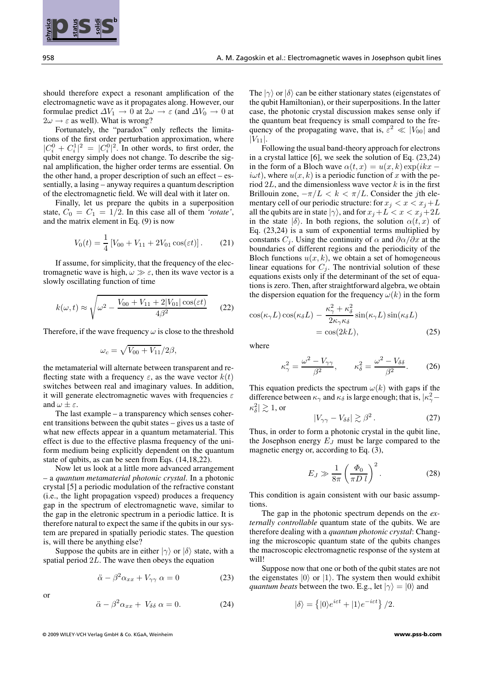should therefore expect a resonant amplification of the electromagnetic wave as it propagates along. However, our formulae predict  $\Delta V_1 \rightarrow 0$  at  $2\omega \rightarrow \varepsilon$  (and  $\Delta V_0 \rightarrow 0$  at  $2\omega \rightarrow \varepsilon$  as well). What is wrong?

Fortunately, the "paradox" only reflects the limitations of the first order perturbation approximation, where  $|C_i^0 + C_i^1|^2 = |C_i^0|^2$ . In other words, to first order, the qubit energy simply does not change. To describe the signal amplification, the higher order terms are essential. On the other hand, a proper description of such an effect – essentially, a lasing – anyway requires a quantum description of the electromagnetic field. We will deal with it later on.

Finally, let us prepare the qubits in a superposition state,  $C_0 = C_1 = 1/2$ . In this case all of them *'rotate'*, and the matrix element in Eq. (9) is now

$$
V_0(t) = \frac{1}{4} \left[ V_{00} + V_{11} + 2V_{01} \cos(\varepsilon t) \right].
$$
 (21)

If assume, for simplicity, that the frequency of the electromagnetic wave is high,  $\omega \gg \varepsilon$ , then its wave vector is a slowly oscillating function of time

$$
k(\omega, t) \approx \sqrt{\omega^2 - \frac{V_{00} + V_{11} + 2|V_{01}| \cos(\varepsilon t)}{4\beta^2}}
$$
 (22)

Therefore, if the wave frequency  $\omega$  is close to the threshold

$$
\omega_c = \sqrt{V_{00} + V_{11}}/2\beta,
$$

the metamaterial will alternate between transparent and reflecting state with a frequency  $\varepsilon$ , as the wave vector  $k(t)$ switches between real and imaginary values. In addition, it will generate electromagnetic waves with frequencies  $\varepsilon$ and  $\omega \pm \varepsilon$ .

The last example – a transparency which senses coherent transitions between the qubit states – gives us a taste of what new effects appear in a quantum metamaterial. This effect is due to the effective plasma frequency of the uniform medium being explicitly dependent on the quantum state of qubits, as can be seen from Eqs. (14,18,22).

Now let us look at a little more advanced arrangement – a *quantum metamaterial photonic crystal*. In a photonic crystal [5] a periodic modulation of the refractive constant (i.e., the light propagation vspeed) produces a frequency gap in the spectrum of electromagnetic wave, similar to the gap in the eletronic spectrum in a periodic lattice. It is therefore natural to expect the same if the qubits in our system are prepared in spatially periodic states. The question is, will there be anything else?

Suppose the qubits are in either  $|\gamma\rangle$  or  $|\delta\rangle$  state, with a spatial period  $2L$ . The wave then obeys the equation

$$
\ddot{\alpha} - \beta^2 \alpha_{xx} + V_{\gamma\gamma} \alpha = 0 \tag{23}
$$

$$
\ddot{\alpha} - \beta^2 \alpha_{xx} + V_{\delta \delta} \alpha = 0. \tag{24}
$$

© 2009 WILEY-VCH Verlag GmbH & Co. KGaA, Weinheim **www.pss-b.com**

or

The  $|\gamma\rangle$  or  $|\delta\rangle$  can be either stationary states (eigenstates of the qubit Hamiltonian), or their superpositions. In the latter case, the photonic crystal discussion makes sense only if the quantum beat frequency is small compared to the frequency of the propagating wave, that is,  $\varepsilon^2 \ll |V_{00}|$  and  $|V_{11}|.$ 

Following the usual band-theory approach for electrons in a crystal lattice [6], we seek the solution of Eq. (23,24) in the form of a Bloch wave  $\alpha(t, x) = u(x, k) \exp(ikx$  $i\omega t$ , where  $u(x, k)$  is a periodic function of x with the period  $2L$ , and the dimensionless wave vector  $k$  is in the first Brillouin zone,  $-\pi/L < k < \pi/L$ . Consider the *j*th elementary cell of our periodic structure: for  $x_i < x < x_j + L$ all the qubits are in state  $|\gamma\rangle$ , and for  $x_i + L < x < x_j + 2L$ in the state  $|\delta\rangle$ . In both regions, the solution  $\alpha(t, x)$  of Eq. (23,24) is a sum of exponential terms multiplied by constants  $C_i$ . Using the continuity of  $\alpha$  and  $\partial \alpha/\partial x$  at the boundaries of different regions and the periodicity of the Bloch functions  $u(x, k)$ , we obtain a set of homogeneous linear equations for  $C_j$ . The nontrivial solution of these equations exists only if the determinant of the set of equations is zero. Then, after straightforward algebra, we obtain the dispersion equation for the frequency  $\omega(k)$  in the form

$$
\cos(\kappa_{\gamma}L)\cos(\kappa_{\delta}L) - \frac{\kappa_{\gamma}^2 + \kappa_{\delta}^2}{2\kappa_{\gamma}\kappa_{\delta}}\sin(\kappa_{\gamma}L)\sin(\kappa_{\delta}L)
$$
  
=  $\cos(2kL)$ , (25)

where

$$
\kappa_{\gamma}^2 = \frac{\omega^2 - V_{\gamma\gamma}}{\beta^2}, \qquad \kappa_{\delta}^2 = \frac{\omega^2 - V_{\delta\delta}}{\beta^2}.
$$
 (26)

This equation predicts the spectrum  $\omega(k)$  with gaps if the difference between  $\kappa_{\gamma}$  and  $\kappa_{\delta}$  is large enough; that is,  $|\kappa_{\gamma}^2 |\kappa_{\delta}^2| \gtrsim 1$ , or

$$
|V_{\gamma\gamma} - V_{\delta\delta}| \gtrsim \beta^2. \tag{27}
$$

Thus, in order to form a photonic crystal in the qubit line, the Josephson energy  $E_J$  must be large compared to the magnetic energy or, according to Eq. (3),

$$
E_J \gg \frac{1}{8\pi} \left(\frac{\Phi_0}{\pi D l}\right)^2.
$$
 (28)

This condition is again consistent with our basic assumptions.

The gap in the photonic spectrum depends on the *externally controllable* quantum state of the qubits. We are therefore dealing with a *quantum photonic crystal*: Changing the microscopic quantum state of the qubits changes the macroscopic electromagnetic response of the system at will!

Suppose now that one or both of the qubit states are not the eigenstates  $|0\rangle$  or  $|1\rangle$ . The system then would exhibit *quantum beats* between the two. E.g., let  $|\gamma\rangle = |0\rangle$  and

$$
|\delta\rangle = \left\{ |0\rangle e^{i\varepsilon t} + |1\rangle e^{-i\varepsilon t} \right\} / 2.
$$

**physica pss status solidi**

**b**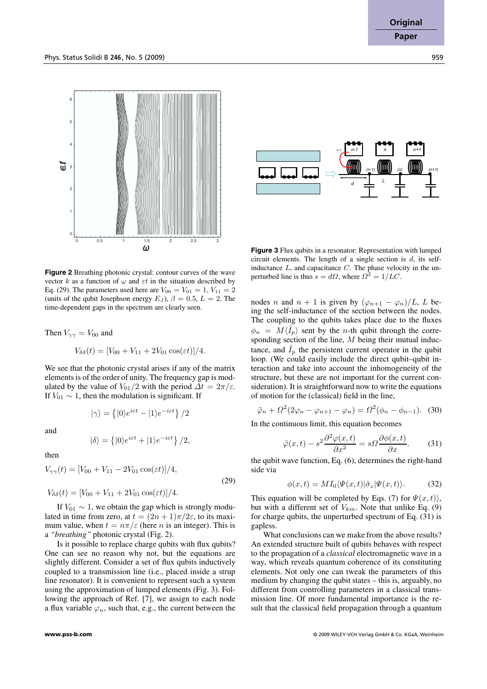



 $n-1$  |  $n$  |  $n+1$ 

n-1

**Figure 2** Breathing photonic crystal: contour curves of the wave vector k as a function of  $\omega$  and  $\varepsilon t$  in the situation described by Eq. (29). The parameters used here are  $V_{00} = V_{01} = 1, V_{11} = 2$ (units of the qubit Josephson energy  $E_J$ ),  $\beta = 0.5$ ,  $L = 2$ . The time-dependent gaps in the spectrum are clearly seen.

Then  $V_{\gamma\gamma} = V_{00}$  and

$$
V_{\delta\delta}(t) = [V_{00} + V_{11} + 2V_{01} \cos(\varepsilon t)]/4.
$$

We see that the photonic crystal arises if any of the matrix elements is of the order of unity. The frequency gap is modulated by the value of  $V_{01}/2$  with the period  $\Delta t = 2\pi/\varepsilon$ . If  $V_{01} \sim 1$ , then the modulation is significant. If

$$
|\gamma\rangle=\left\{|0\rangle e^{i\varepsilon t}-|1\rangle e^{-i\varepsilon t}\right\}/2
$$

and

$$
|\delta\rangle = \left\{|0\rangle e^{i\varepsilon t} + |1\rangle e^{-i\varepsilon t}\right\}/2,
$$

then

$$
V_{\gamma\gamma}(t) = [V_{00} + V_{11} - 2V_{01} \cos(\varepsilon t)]/4,
$$
  
\n
$$
V_{\delta\delta}(t) = [V_{00} + V_{11} + 2V_{01} \cos(\varepsilon t)]/4.
$$
\n(29)

If  $V_{01} \sim 1$ , we obtain the gap which is strongly modulated in time from zero, at  $t = (2n + 1)\pi/2\varepsilon$ , to its maximum value, when  $t = n\pi/\varepsilon$  (here *n* is an integer). This is a *"breathing"* photonic crystal (Fig. 2).

Is it possible to replace charge qubits with flux qubits? One can see no reason why not, but the equations are slightly different. Consider a set of flux qubits inductively coupled to a transmission line (i.e., placed inside a strup line resonator). It is convenient to represent such a system using the approximation of lumped elements (Fig. 3). Following the approach of Ref. [7], we assign to each node a flux variable  $\varphi_n$ , such that, e.g., the current between the

**Figure 3** Flux qubits in a resonator: Representation with lumped circuit elements. The length of a single section is  $d$ , its selfinductance  $L$ , and capacitance  $C$ . The phase velocity in the unperturbed line is thus  $s = d\Omega$ , where  $\Omega^2 = 1/LC$ .

nodes n and  $n + 1$  is given by  $(\varphi_{n+1} - \varphi_n)/L$ , L being the self-inductance of the section between the nodes. The coupling to the qubits takes place due to the fluxes  $\phi_n = M \langle \hat{I}_p \rangle$  sent by the *n*-th qubit through the corresponding section of the line,  $M$  being their mutual inductance, and  $I_p$  the persistent current operator in the qubit loop. (We could easily include the direct qubit–qubit interaction and take into account the inhomogeneity of the structure, but these are not important for the current consideration). It is straightforward now to write the equations of motion for the (classical) field in the line,

$$
\ddot{\varphi}_n + \Omega^2 (2\varphi_n - \varphi_{n+1} - \varphi_n) = \Omega^2 (\phi_n - \phi_{n-1}).
$$
 (30)

In the continuous limit, this equation becomes

$$
\ddot{\varphi}(x,t) - s^2 \frac{\partial^2 \varphi(x,t)}{\partial x^2} = s \Omega \frac{\partial \phi(x,t)}{\partial x}.
$$
 (31)

the qubit wave function, Eq. (6), determines the right-hand side via

$$
\phi(x,t) = MI_0 \langle \Psi(x,t) | \hat{\sigma}_z | \Psi(x,t) \rangle.
$$
 (32)

This equation will be completed by Eqs. (7) for  $\Psi(x, t)$ , but with a different set of  $V_{km}$ . Note that unlike Eq. (9) for charge qubits, the unperturbed spectrum of Eq. (31) is gapless.

What conclusions can we make from the above results? An extended structure built of qubits behaves with respect to the propagation of a *classical* electromagnetic wave in a way, which reveals quantum coherence of its constituting elements. Not only one can tweak the parameters of this medium by changing the qubit states – this is, arguably, no different from controlling parameters in a classical transmission line. Of more fundamental importance is the result that the classical field propagation through a quantum